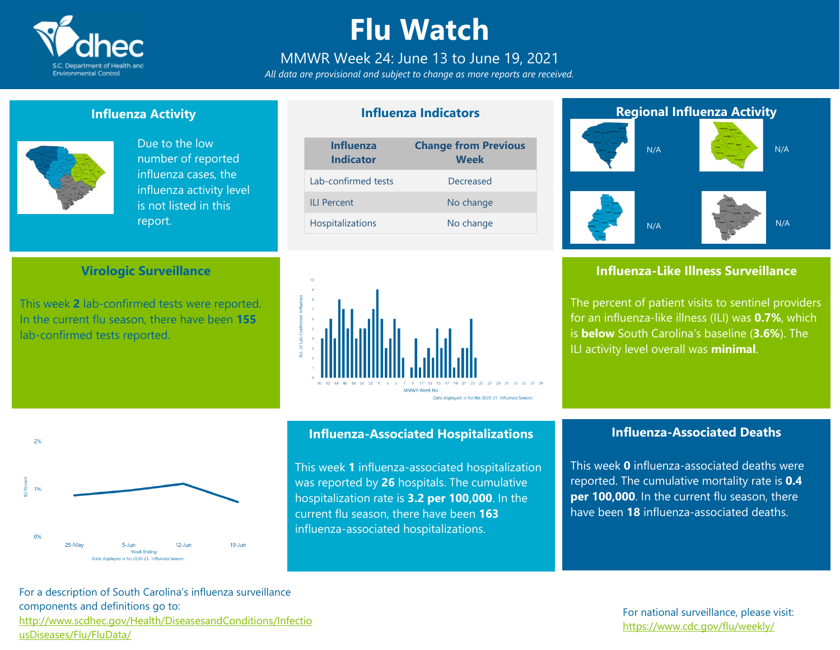

## **Flu Watch**

#### MMWR Week 24: June 13 to June 19, 2021

*All data are provisional and subject to change as more reports are received.*

**Influenza Indicators**

#### **Influenza Activity**



 $20/$ 

19

 $0%$ 

29-May

Due to the low number of reported influenza cases, the influenza activity level is not listed in this report.

#### **Virologic Surveillance**

This week **2** lab-confirmed tests were reported. In the current flu season, there have been **155** lab-confirmed tests reported.





### **Influenza-Associated Hospitalizations**

This week **1** influenza-associated hospitalization was reported by **26** hospitals. The cumulative hospitalization rate is **3.2 per 100,000**. In the current flu season, there have been **163** influenza-associated hospitalizations.

### **Regional Influenza Activity** N/A N/A N/A N/A

#### **Influenza-Like Illness Surveillance**

The percent of patient visits to sentinel providers for an influenza-like illness (ILI) was **0.7%**, which is **below** South Carolina's baseline (**3.6%**). The ILI activity level overall was **minimal**.

#### **Influenza-Associated Deaths**

This week **0** influenza-associated deaths were reported. The cumulative mortality rate is **0.4 per 100,000**. In the current flu season, there have been **18** influenza-associated deaths.

For a description of South Carolina's influenza surveillance components and definitions go to: [http://www.scdhec.gov/Health/DiseasesandConditions/Infectio](http://www.scdhec.gov/Health/DiseasesandConditions/InfectiousDiseases/Flu/FluData/) [usDiseases/Flu/FluData/](http://www.scdhec.gov/Health/DiseasesandConditions/InfectiousDiseases/Flu/FluData/)

 $5 - \lim$ **Week Ending** Data displayed is for 2020-21. Influenza Season

 $12 - \lim$ 

 $19 - \lim$ 

#### For national surveillance, please visit: <https://www.cdc.gov/flu/weekly/>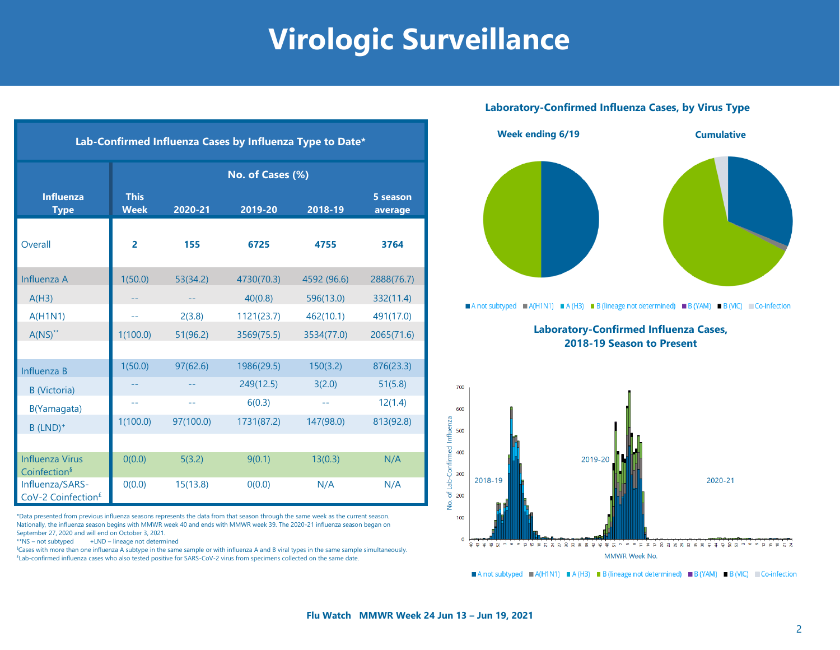## **Virologic Surveillance**

| Lab-Confirmed Influenza Cases by Influenza Type to Date* |                            |           |            |             |                     |  |  |  |  |
|----------------------------------------------------------|----------------------------|-----------|------------|-------------|---------------------|--|--|--|--|
|                                                          | No. of Cases (%)           |           |            |             |                     |  |  |  |  |
| <b>Influenza</b><br><b>Type</b>                          | <b>This</b><br><b>Week</b> | 2020-21   | 2019-20    | 2018-19     | 5 season<br>average |  |  |  |  |
| Overall                                                  | $\overline{2}$             | 155       | 6725       | 4755        | 3764                |  |  |  |  |
| Influenza A                                              | 1(50.0)                    | 53(34.2)  | 4730(70.3) | 4592 (96.6) | 2888(76.7)          |  |  |  |  |
| A(H3)                                                    |                            |           | 40(0.8)    | 596(13.0)   | 332(11.4)           |  |  |  |  |
| A(H1N1)                                                  | $-1$                       | 2(3.8)    | 1121(23.7) | 462(10.1)   | 491(17.0)           |  |  |  |  |
| $A(NS)^{**}$                                             | 1(100.0)                   | 51(96.2)  | 3569(75.5) | 3534(77.0)  | 2065(71.6)          |  |  |  |  |
|                                                          |                            |           |            |             |                     |  |  |  |  |
| Influenza B                                              | 1(50.0)                    | 97(62.6)  | 1986(29.5) | 150(3.2)    | 876(23.3)           |  |  |  |  |
| <b>B</b> (Victoria)                                      |                            |           | 249(12.5)  | 3(2.0)      | 51(5.8)             |  |  |  |  |
| B(Yamagata)                                              | 44                         | $-$       | 6(0.3)     | --          | 12(1.4)             |  |  |  |  |
| $B$ (LND) <sup>+</sup>                                   | 1(100.0)                   | 97(100.0) | 1731(87.2) | 147(98.0)   | 813(92.8)           |  |  |  |  |
|                                                          |                            |           |            |             |                     |  |  |  |  |
| <b>Influenza Virus</b><br>Coinfection <sup>§</sup>       | O(0.0)                     | 5(3.2)    | 9(0.1)     | 13(0.3)     | N/A                 |  |  |  |  |
| Influenza/SARS-<br>CoV-2 Coinfection <sup>£</sup>        | O(0.0)                     | 15(13.8)  | 0(0.0)     | N/A         | N/A                 |  |  |  |  |

\*Data presented from previous influenza seasons represents the data from that season through the same week as the current season. Nationally, the influenza season begins with MMWR week 40 and ends with MMWR week 39. The 2020-21 influenza season began on September 27, 2020 and will end on October 3, 2021.

\*\*NS – not subtyped +LND – lineage not determined

§Cases with more than one influenza A subtype in the same sample or with influenza A and B viral types in the same sample simultaneously. £Lab-confirmed influenza cases who also tested positive for SARS-CoV-2 virus from specimens collected on the same date.

#### **Laboratory-Confirmed Influenza Cases, by Virus Type**



A not subtyped  $\blacksquare$  A(H1N1)  $\blacksquare$  A(H3)  $\blacksquare$  B (lineage not determined)  $\blacksquare$  B (YAM)  $\blacksquare$  B (VIC)  $\blacksquare$  Co-infection

**Laboratory-Confirmed Influenza Cases, 2018-19 Season to Present**



A not subtyped  $A(H1N1) = A(H3) = B$  (lineage not determined) B (YAM) B (VIC) Co-infection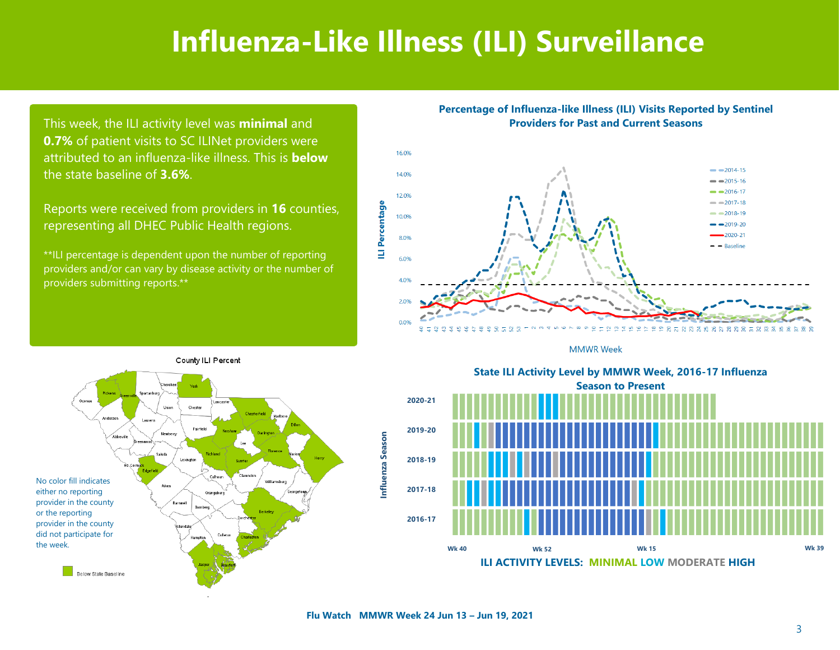### **Influenza-Like Illness (ILI) Surveillance**

This week, the ILI activity level was **minimal** and **0.7%** of patient visits to SC ILINet providers were attributed to an influenza-like illness. This is **below**  the state baseline of **3.6%**.

Reports were received from providers in **16** counties, representing all DHEC Public Health regions.

\*\*ILI percentage is dependent upon the number of reporting providers and/or can vary by disease activity or the number of providers submitting reports.\*\*









State ILI Activity Level by MMWR Week, 2016-17 Influenza **Season to Present** Season to Present **2020-21 2019-20 2018-19 2017-18 2016-17 State ILI Activity Level by MMWR Week, 2016-17 Influenza Wk 40 Wk 52 Wk 15 Wk 39**

**ILI ACTIVITY LEVELS: MINIMAL LOW MODERATE HIGH**